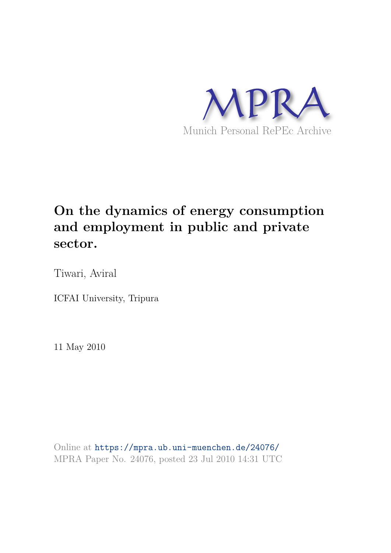

## **On the dynamics of energy consumption and employment in public and private sector.**

Tiwari, Aviral

ICFAI University, Tripura

11 May 2010

Online at https://mpra.ub.uni-muenchen.de/24076/ MPRA Paper No. 24076, posted 23 Jul 2010 14:31 UTC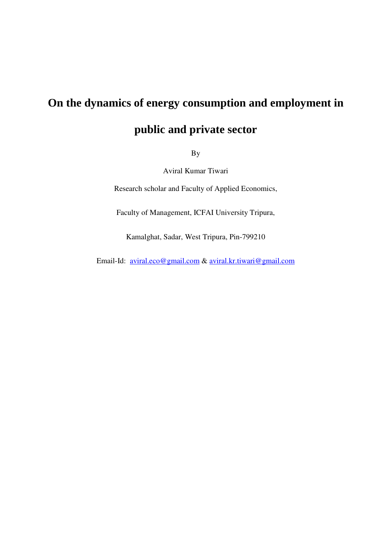## **On the dynamics of energy consumption and employment in**

## **public and private sector**

By

Aviral Kumar Tiwari

Research scholar and Faculty of Applied Economics,

Faculty of Management, ICFAI University Tripura,

Kamalghat, Sadar, West Tripura, Pin-799210

Email-Id: aviral.eco@gmail.com & aviral.kr.tiwari@gmail.com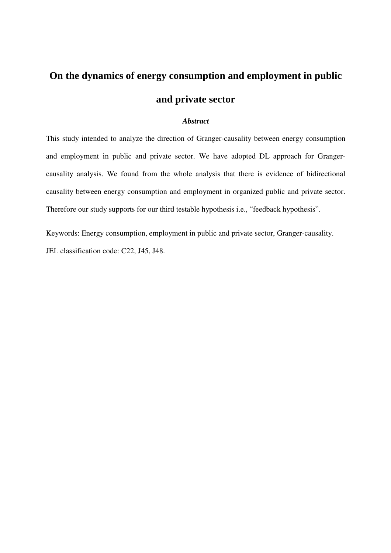# **On the dynamics of energy consumption and employment in public and private sector**

## *Abstract*

This study intended to analyze the direction of Granger-causality between energy consumption and employment in public and private sector. We have adopted DL approach for Grangercausality analysis. We found from the whole analysis that there is evidence of bidirectional causality between energy consumption and employment in organized public and private sector. Therefore our study supports for our third testable hypothesis i.e., "feedback hypothesis".

Keywords: Energy consumption, employment in public and private sector, Granger-causality. JEL classification code: C22, J45, J48.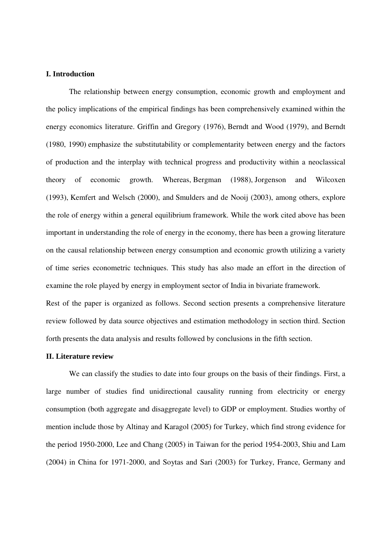## **I. Introduction**

The relationship between energy consumption, economic growth and employment and the policy implications of the empirical findings has been comprehensively examined within the energy economics literature. Griffin and Gregory (1976), Berndt and Wood (1979), and Berndt (1980, 1990) emphasize the substitutability or complementarity between energy and the factors of production and the interplay with technical progress and productivity within a neoclassical theory of economic growth. Whereas, Bergman (1988), Jorgenson and Wilcoxen (1993), Kemfert and Welsch (2000), and Smulders and de Nooij (2003), among others, explore the role of energy within a general equilibrium framework. While the work cited above has been important in understanding the role of energy in the economy, there has been a growing literature on the causal relationship between energy consumption and economic growth utilizing a variety of time series econometric techniques. This study has also made an effort in the direction of examine the role played by energy in employment sector of India in bivariate framework.

Rest of the paper is organized as follows. Second section presents a comprehensive literature review followed by data source objectives and estimation methodology in section third. Section forth presents the data analysis and results followed by conclusions in the fifth section.

### **II. Literature review**

We can classify the studies to date into four groups on the basis of their findings. First, a large number of studies find unidirectional causality running from electricity or energy consumption (both aggregate and disaggregate level) to GDP or employment. Studies worthy of mention include those by Altinay and Karagol (2005) for Turkey, which find strong evidence for the period 1950-2000, Lee and Chang (2005) in Taiwan for the period 1954-2003, Shiu and Lam (2004) in China for 1971-2000, and Soytas and Sari (2003) for Turkey, France, Germany and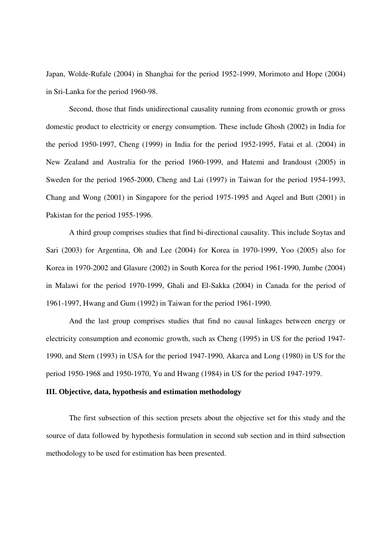Japan, Wolde-Rufale (2004) in Shanghai for the period 1952-1999, Morimoto and Hope (2004) in Sri-Lanka for the period 1960-98.

Second, those that finds unidirectional causality running from economic growth or gross domestic product to electricity or energy consumption. These include Ghosh (2002) in India for the period 1950-1997, Cheng (1999) in India for the period 1952-1995, Fatai et al. (2004) in New Zealand and Australia for the period 1960-1999, and Hatemi and Irandoust (2005) in Sweden for the period 1965-2000, Cheng and Lai (1997) in Taiwan for the period 1954-1993, Chang and Wong (2001) in Singapore for the period 1975-1995 and Aqeel and Butt (2001) in Pakistan for the period 1955-1996.

A third group comprises studies that find bi-directional causality. This include Soytas and Sari (2003) for Argentina, Oh and Lee (2004) for Korea in 1970-1999, Yoo (2005) also for Korea in 1970-2002 and Glasure (2002) in South Korea for the period 1961-1990, Jumbe (2004) in Malawi for the period 1970-1999, Ghali and El-Sakka (2004) in Canada for the period of 1961-1997, Hwang and Gum (1992) in Taiwan for the period 1961-1990.

And the last group comprises studies that find no causal linkages between energy or electricity consumption and economic growth, such as Cheng (1995) in US for the period 1947- 1990, and Stern (1993) in USA for the period 1947-1990, Akarca and Long (1980) in US for the period 1950-1968 and 1950-1970, Yu and Hwang (1984) in US for the period 1947-1979.

## **III. Objective, data, hypothesis and estimation methodology**

The first subsection of this section presets about the objective set for this study and the source of data followed by hypothesis formulation in second sub section and in third subsection methodology to be used for estimation has been presented.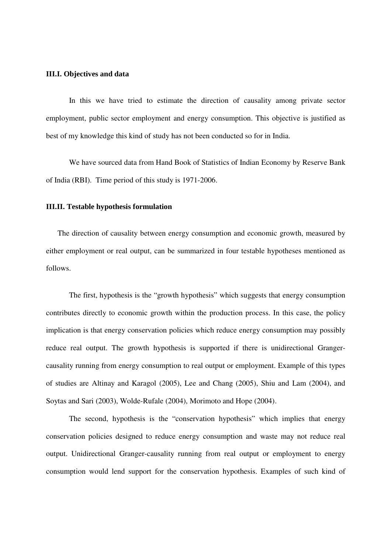### **III.I. Objectives and data**

In this we have tried to estimate the direction of causality among private sector employment, public sector employment and energy consumption. This objective is justified as best of my knowledge this kind of study has not been conducted so for in India.

We have sourced data from Hand Book of Statistics of Indian Economy by Reserve Bank of India (RBI). Time period of this study is 1971-2006.

#### **III.II. Testable hypothesis formulation**

The direction of causality between energy consumption and economic growth, measured by either employment or real output, can be summarized in four testable hypotheses mentioned as follows.

The first, hypothesis is the "growth hypothesis" which suggests that energy consumption contributes directly to economic growth within the production process. In this case, the policy implication is that energy conservation policies which reduce energy consumption may possibly reduce real output. The growth hypothesis is supported if there is unidirectional Grangercausality running from energy consumption to real output or employment. Example of this types of studies are Altinay and Karagol (2005), Lee and Chang (2005), Shiu and Lam (2004), and Soytas and Sari (2003), Wolde-Rufale (2004), Morimoto and Hope (2004).

The second, hypothesis is the "conservation hypothesis" which implies that energy conservation policies designed to reduce energy consumption and waste may not reduce real output. Unidirectional Granger-causality running from real output or employment to energy consumption would lend support for the conservation hypothesis. Examples of such kind of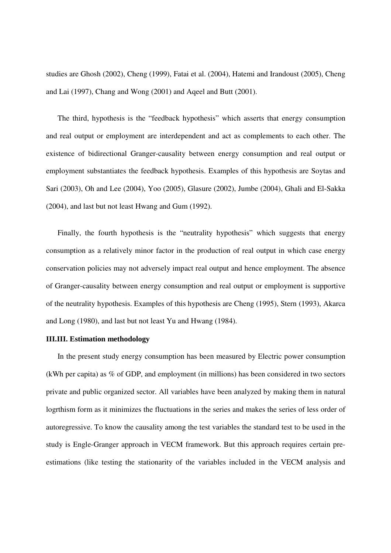studies are Ghosh (2002), Cheng (1999), Fatai et al. (2004), Hatemi and Irandoust (2005), Cheng and Lai (1997), Chang and Wong (2001) and Aqeel and Butt (2001).

The third, hypothesis is the "feedback hypothesis" which asserts that energy consumption and real output or employment are interdependent and act as complements to each other. The existence of bidirectional Granger-causality between energy consumption and real output or employment substantiates the feedback hypothesis. Examples of this hypothesis are Soytas and Sari (2003), Oh and Lee (2004), Yoo (2005), Glasure (2002), Jumbe (2004), Ghali and El-Sakka (2004), and last but not least Hwang and Gum (1992).

Finally, the fourth hypothesis is the "neutrality hypothesis" which suggests that energy consumption as a relatively minor factor in the production of real output in which case energy conservation policies may not adversely impact real output and hence employment. The absence of Granger-causality between energy consumption and real output or employment is supportive of the neutrality hypothesis. Examples of this hypothesis are Cheng (1995), Stern (1993), Akarca and Long (1980), and last but not least Yu and Hwang (1984).

#### **III.III. Estimation methodology**

In the present study energy consumption has been measured by Electric power consumption (kWh per capita) as % of GDP, and employment (in millions) has been considered in two sectors private and public organized sector. All variables have been analyzed by making them in natural logrthism form as it minimizes the fluctuations in the series and makes the series of less order of autoregressive. To know the causality among the test variables the standard test to be used in the study is Engle-Granger approach in VECM framework. But this approach requires certain preestimations (like testing the stationarity of the variables included in the VECM analysis and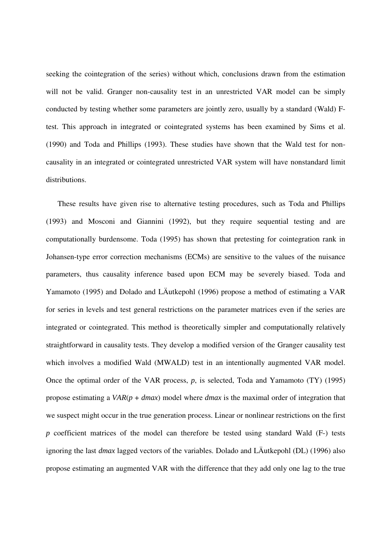seeking the cointegration of the series) without which, conclusions drawn from the estimation will not be valid. Granger non-causality test in an unrestricted VAR model can be simply conducted by testing whether some parameters are jointly zero, usually by a standard (Wald) Ftest. This approach in integrated or cointegrated systems has been examined by Sims et al. (1990) and Toda and Phillips (1993). These studies have shown that the Wald test for noncausality in an integrated or cointegrated unrestricted VAR system will have nonstandard limit distributions.

These results have given rise to alternative testing procedures, such as Toda and Phillips (1993) and Mosconi and Giannini (1992), but they require sequential testing and are computationally burdensome. Toda (1995) has shown that pretesting for cointegration rank in Johansen-type error correction mechanisms (ECMs) are sensitive to the values of the nuisance parameters, thus causality inference based upon ECM may be severely biased. Toda and Yamamoto (1995) and Dolado and LÄutkepohl (1996) propose a method of estimating a VAR for series in levels and test general restrictions on the parameter matrices even if the series are integrated or cointegrated. This method is theoretically simpler and computationally relatively straightforward in causality tests. They develop a modified version of the Granger causality test which involves a modified Wald (MWALD) test in an intentionally augmented VAR model. Once the optimal order of the VAR process, *p*, is selected, Toda and Yamamoto (TY) (1995) propose estimating a *VAR*(*p* + *dmax*) model where *dmax* is the maximal order of integration that we suspect might occur in the true generation process. Linear or nonlinear restrictions on the first *p* coefficient matrices of the model can therefore be tested using standard Wald (F-) tests ignoring the last *dmax* lagged vectors of the variables. Dolado and LÄutkepohl (DL) (1996) also propose estimating an augmented VAR with the difference that they add only one lag to the true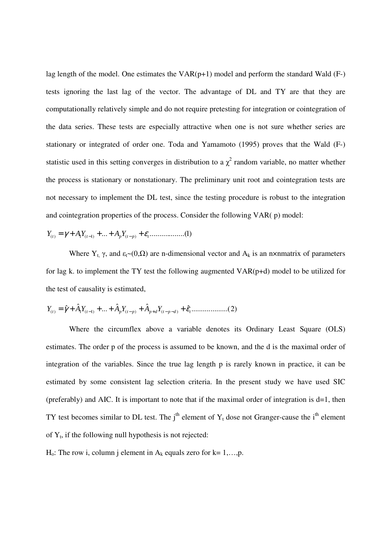lag length of the model. One estimates the  $VAR(p+1)$  model and perform the standard Wald  $(F-)$ tests ignoring the last lag of the vector. The advantage of DL and TY are that they are computationally relatively simple and do not require pretesting for integration or cointegration of the data series. These tests are especially attractive when one is not sure whether series are stationary or integrated of order one. Toda and Yamamoto (1995) proves that the Wald (F-) statistic used in this setting converges in distribution to a  $\chi^2$  random variable, no matter whether the process is stationary or nonstationary. The preliminary unit root and cointegration tests are not necessary to implement the DL test, since the testing procedure is robust to the integration and cointegration properties of the process. Consider the following VAR( p) model:

$$
Y_{(t)} = \gamma + A_1 Y_{(t-1)} + \dots + A_p Y_{(t-p)} + \varepsilon_t \dots \dots \dots \dots \dots (1)
$$

Where  $Y_t$ ,  $\gamma$ , and  $\varepsilon_t \sim (0,\Omega)$  are n-dimensional vector and  $A_k$  is an n×nmatrix of parameters for lag k. to implement the TY test the following augmented VAR(p+d) model to be utilized for the test of causality is estimated,

$$
Y_{(t)} = \hat{\gamma} + \hat{A}_1 Y_{(t-1)} + \dots + \hat{A}_p Y_{(t-p)} + \hat{A}_{p+d} Y_{(t-p-d)} + \hat{\varepsilon}_t \dots \dots \dots \dots \dots \dots (2)
$$

Where the circumflex above a variable denotes its Ordinary Least Square (OLS) estimates. The order p of the process is assumed to be known, and the d is the maximal order of integration of the variables. Since the true lag length p is rarely known in practice, it can be estimated by some consistent lag selection criteria. In the present study we have used SIC (preferably) and AIC. It is important to note that if the maximal order of integration is  $d=1$ , then TY test becomes similar to DL test. The  $j<sup>th</sup>$  element of  $Y_t$  dose not Granger-cause the  $i<sup>th</sup>$  element of  $Y_t$ , if the following null hypothesis is not rejected:

 $H_0$ : The row i, column j element in  $A_k$  equals zero for  $k=1,...,p$ .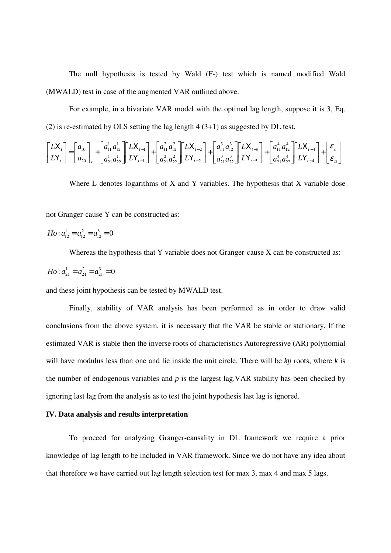The null hypothesis is tested by Wald (F-) test which is named modified Wald (MWALD) test in case of the augmented VAR outlined above.

For example, in a bivariate VAR model with the optimal lag length, suppose it is 3, Eq. (2) is re-estimated by OLS setting the lag length 4 (3+1) as suggested by DL test.

$$
\begin{bmatrix} LX_t \\ LY_t \end{bmatrix} = \begin{bmatrix} a_{10} \\ a_{20} \end{bmatrix}_{x} + \begin{bmatrix} a_{11}^1 a_{12}^1 \\ a_{21}^1 a_{22}^1 \end{bmatrix} \begin{bmatrix} LX_{t-1} \\ az_{t-1} \end{bmatrix} + \begin{bmatrix} a_{11}^2 a_{12}^2 \\ a_{21}^2 a_{22}^2 \end{bmatrix} \begin{bmatrix} LX_{t-2} \\ LY_{t-2} \end{bmatrix} + \begin{bmatrix} a_{11}^3 a_{12}^3 \\ a_{21}^3 a_{22}^3 \end{bmatrix} \begin{bmatrix} LX_{t-3} \\ LY_{t-3} \end{bmatrix} + \begin{bmatrix} a_{11}^4 a_{12}^4 \\ a_{21}^4 a_{22}^4 \end{bmatrix} \begin{bmatrix} LX_{t-4} \\ LY_{t-4} \end{bmatrix} + \begin{bmatrix} \varepsilon_{11} \\ \varepsilon_{21} \end{bmatrix}
$$

Where L denotes logarithms of X and Y variables. The hypothesis that X variable dose

not Granger-cause Y can be constructed as:

$$
Ho: a_{12}^1 = a_{12}^2 = a_{12}^3 = 0
$$

Whereas the hypothesis that Y variable does not Granger-cause X can be constructed as:

$$
Ho: a_{21}^1 = a_{21}^2 = a_{21}^3 = 0
$$

and these joint hypothesis can be tested by MWALD test.

Finally, stability of VAR analysis has been performed as in order to draw valid conclusions from the above system, it is necessary that the VAR be stable or stationary. If the estimated VAR is stable then the inverse roots of characteristics Autoregressive (AR) polynomial will have modulus less than one and lie inside the unit circle. There will be *kp* roots, where *k* is the number of endogenous variables and *p* is the largest lag.VAR stability has been checked by ignoring last lag from the analysis as to test the joint hypothesis last lag is ignored.

## **IV. Data analysis and results interpretation**

To proceed for analyzing Granger-causality in DL framework we require a prior knowledge of lag length to be included in VAR framework. Since we do not have any idea about that therefore we have carried out lag length selection test for max 3, max 4 and max 5 lags.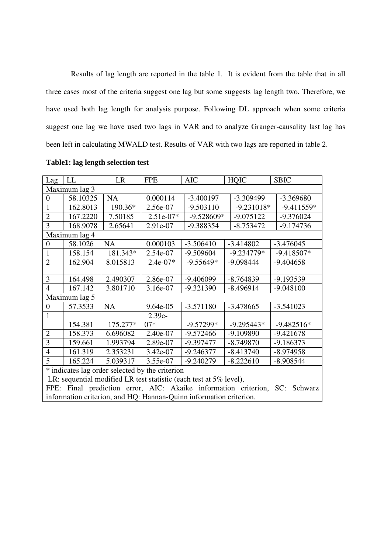Results of lag length are reported in the table 1. It is evident from the table that in all three cases most of the criteria suggest one lag but some suggests lag length two. Therefore, we have used both lag length for analysis purpose. Following DL approach when some criteria suggest one lag we have used two lags in VAR and to analyze Granger-causality last lag has been left in calculating MWALD test. Results of VAR with two lags are reported in table 2.

| Lag                                                                         | LL            | <b>LR</b> | <b>FPE</b>  | <b>AIC</b>   | <b>HQIC</b>  | <b>SBIC</b>  |  |
|-----------------------------------------------------------------------------|---------------|-----------|-------------|--------------|--------------|--------------|--|
| Maximum lag 3                                                               |               |           |             |              |              |              |  |
| $\boldsymbol{0}$                                                            | 58.10325      | <b>NA</b> | 0.000114    | $-3.400197$  | $-3.309499$  | $-3.369680$  |  |
| $\mathbf{1}$                                                                | 162.8013      | 190.36*   | 2.56e-07    | $-9.503110$  | $-9.231018*$ | $-9.411559*$ |  |
| $\overline{2}$                                                              | 167.2220      | 7.50185   | $2.51e-07*$ | $-9.528609*$ | $-9.075122$  | $-9.376024$  |  |
| $\overline{3}$                                                              | 168.9078      | 2.65641   | 2.91e-07    | -9.388354    | $-8.753472$  | $-9.174736$  |  |
|                                                                             | Maximum lag 4 |           |             |              |              |              |  |
| $\boldsymbol{0}$                                                            | 58.1026       | <b>NA</b> | 0.000103    | $-3.506410$  | $-3.414802$  | $-3.476045$  |  |
| $\mathbf{1}$                                                                | 158.154       | 181.343*  | 2.54e-07    | $-9.509604$  | $-9.234779*$ | $-9.418507*$ |  |
| $\overline{2}$                                                              | 162.904       | 8.015813  | $2.4e-07*$  | $-9.55649*$  | $-9.098444$  | $-9.404658$  |  |
|                                                                             |               |           |             |              |              |              |  |
| 3                                                                           | 164.498       | 2.490307  | 2.86e-07    | $-9.406099$  | $-8.764839$  | -9.193539    |  |
| $\overline{4}$                                                              | 167.142       | 3.801710  | 3.16e-07    | -9.321390    | $-8.496914$  | $-9.048100$  |  |
| Maximum lag 5                                                               |               |           |             |              |              |              |  |
| $\boldsymbol{0}$                                                            | 57.3533       | <b>NA</b> | 9.64e-05    | $-3.571180$  | $-3.478665$  | $-3.541023$  |  |
| 1                                                                           |               |           | $2.39e-$    |              |              |              |  |
|                                                                             | 154.381       | 175.277*  | $07*$       | $-9.57299*$  | $-9.295443*$ | $-9.482516*$ |  |
| $\overline{2}$                                                              | 158.373       | 6.696082  | 2.40e-07    | $-9.572466$  | $-9.109890$  | $-9.421678$  |  |
| $\overline{3}$                                                              | 159.661       | 1.993794  | 2.89e-07    | -9.397477    | $-8.749870$  | $-9.186373$  |  |
| 4                                                                           | 161.319       | 2.353231  | 3.42e-07    | $-9.246377$  | $-8.413740$  | $-8.974958$  |  |
| 5                                                                           | 165.224       | 5.039317  | 3.55e-07    | $-9.240279$  | $-8.222610$  | $-8.908544$  |  |
| * indicates lag order selected by the criterion                             |               |           |             |              |              |              |  |
| LR: sequential modified LR test statistic (each test at 5% level),          |               |           |             |              |              |              |  |
| FPE: Final prediction error, AIC: Akaike information criterion, SC: Schwarz |               |           |             |              |              |              |  |
| information criterion, and HQ: Hannan-Quinn information criterion.          |               |           |             |              |              |              |  |

## **Table1: lag length selection test**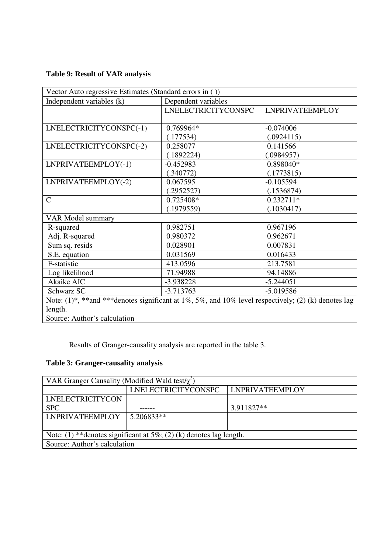## **Table 9: Result of VAR analysis**

| Vector Auto regressive Estimates (Standard errors in ())                                                           |                            |                        |  |  |  |
|--------------------------------------------------------------------------------------------------------------------|----------------------------|------------------------|--|--|--|
| Independent variables (k)                                                                                          | Dependent variables        |                        |  |  |  |
|                                                                                                                    | <b>LNELECTRICITYCONSPC</b> | <b>LNPRIVATEEMPLOY</b> |  |  |  |
|                                                                                                                    |                            |                        |  |  |  |
| LNELECTRICITYCONSPC(-1)                                                                                            | 0.769964*                  | $-0.074006$            |  |  |  |
|                                                                                                                    | (.177534)                  | (.0924115)             |  |  |  |
| LNELECTRICITYCONSPC(-2)                                                                                            | 0.258077                   | 0.141566               |  |  |  |
|                                                                                                                    | (.1892224)                 | (.0984957)             |  |  |  |
| LNPRIVATEEMPLOY(-1)                                                                                                | $-0.452983$                | 0.898040*              |  |  |  |
|                                                                                                                    | (.340772)                  | (.1773815)             |  |  |  |
| LNPRIVATEEMPLOY(-2)                                                                                                | 0.067595                   | $-0.105594$            |  |  |  |
|                                                                                                                    | (.2952527)                 | (.1536874)             |  |  |  |
| $\mathsf{C}$                                                                                                       | 0.725408*                  | $0.232711*$            |  |  |  |
|                                                                                                                    | (.1979559)                 | (.1030417)             |  |  |  |
| <b>VAR Model summary</b>                                                                                           |                            |                        |  |  |  |
| R-squared                                                                                                          | 0.982751                   | 0.967196               |  |  |  |
| Adj. R-squared                                                                                                     | 0.980372                   | 0.962671               |  |  |  |
| Sum sq. resids                                                                                                     | 0.028901                   | 0.007831               |  |  |  |
| S.E. equation                                                                                                      | 0.031569                   | 0.016433               |  |  |  |
| F-statistic                                                                                                        | 413.0596                   | 213.7581               |  |  |  |
| Log likelihood                                                                                                     | 71.94988                   | 94.14886               |  |  |  |
| Akaike AIC                                                                                                         | $-3.938228$                | $-5.244051$            |  |  |  |
| Schwarz SC                                                                                                         | $-3.713763$                | $-5.019586$            |  |  |  |
| Note: $(1)$ <sup>*</sup> , **and ***denotes significant at 1%, 5%, and 10% level respectively; (2) (k) denotes lag |                            |                        |  |  |  |
| length.                                                                                                            |                            |                        |  |  |  |
| Source: Author's calculation                                                                                       |                            |                        |  |  |  |

Results of Granger-causality analysis are reported in the table 3.

## **Table 3: Granger-causality analysis**

| VAR Granger Causality (Modified Wald test/ $\chi^2$ )               |                     |                        |  |  |  |
|---------------------------------------------------------------------|---------------------|------------------------|--|--|--|
|                                                                     | LNELECTRICITYCONSPC | <b>LNPRIVATEEMPLOY</b> |  |  |  |
| LNELECTRICITYCON                                                    |                     |                        |  |  |  |
| <b>SPC</b>                                                          |                     | 3.911827**             |  |  |  |
| <b>LNPRIVATEEMPLOY</b>                                              | 5.206833**          |                        |  |  |  |
|                                                                     |                     |                        |  |  |  |
| Note: (1) ** denotes significant at 5%; (2) (k) denotes lag length. |                     |                        |  |  |  |
| Source: Author's calculation                                        |                     |                        |  |  |  |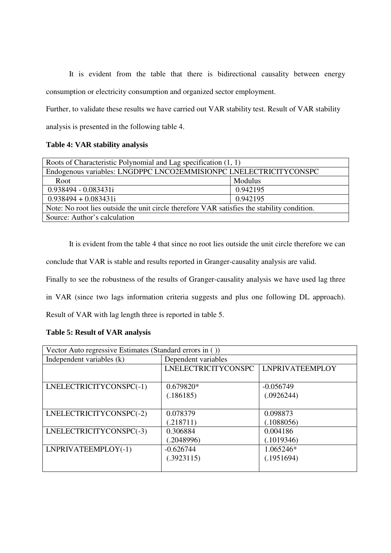It is evident from the table that there is bidirectional causality between energy consumption or electricity consumption and organized sector employment.

Further, to validate these results we have carried out VAR stability test. Result of VAR stability analysis is presented in the following table 4.

## **Table 4: VAR stability analysis**

| Roots of Characteristic Polynomial and Lag specification (1, 1)                             |          |  |  |
|---------------------------------------------------------------------------------------------|----------|--|--|
| Endogenous variables: LNGDPPC LNCO2EMMISIONPC LNELECTRICITYCONSPC                           |          |  |  |
| Root                                                                                        | Modulus  |  |  |
| $0.938494 - 0.083431i$                                                                      | 0.942195 |  |  |
| $0.938494 + 0.083431i$                                                                      | 0.942195 |  |  |
| Note: No root lies outside the unit circle therefore VAR satisfies the stability condition. |          |  |  |
| Source: Author's calculation                                                                |          |  |  |

It is evident from the table 4 that since no root lies outside the unit circle therefore we can conclude that VAR is stable and results reported in Granger-causality analysis are valid.

Finally to see the robustness of the results of Granger-causality analysis we have used lag three

in VAR (since two lags information criteria suggests and plus one following DL approach).

Result of VAR with lag length three is reported in table 5.

## **Table 5: Result of VAR analysis**

| Vector Auto regressive Estimates (Standard errors in ()) |                            |                        |  |  |
|----------------------------------------------------------|----------------------------|------------------------|--|--|
| Independent variables (k)                                | Dependent variables        |                        |  |  |
|                                                          | <b>LNELECTRICITYCONSPC</b> | <b>LNPRIVATEEMPLOY</b> |  |  |
|                                                          |                            |                        |  |  |
| LNELECTRICITYCONSPC(-1)                                  | 0.679820*                  | $-0.056749$            |  |  |
|                                                          | (.186185)                  | (.0926244)             |  |  |
|                                                          |                            |                        |  |  |
| LNELECTRICITYCONSPC(-2)                                  | 0.078379                   | 0.098873               |  |  |
|                                                          | (.218711)                  | (.1088056)             |  |  |
| LNELECTRICITYCONSPC(-3)                                  | 0.306884                   | 0.004186               |  |  |
|                                                          | (.2048996)                 | (.1019346)             |  |  |
| LNPRIVATEEMPLOY(-1)                                      | $-0.626744$                | 1.065246*              |  |  |
|                                                          | (.3923115)                 | (.1951694)             |  |  |
|                                                          |                            |                        |  |  |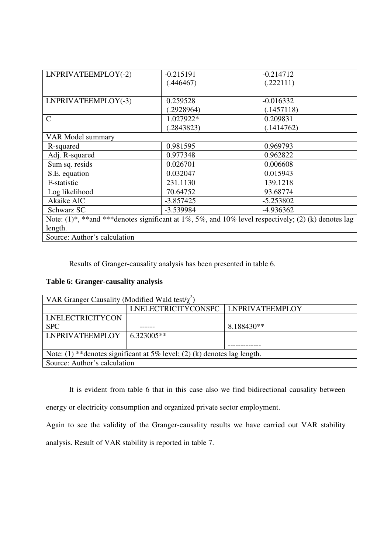| LNPRIVATEEMPLOY(-2)                                                                                 | $-0.215191$ | $-0.214712$ |
|-----------------------------------------------------------------------------------------------------|-------------|-------------|
|                                                                                                     | (.446467)   | (.222111)   |
|                                                                                                     |             |             |
|                                                                                                     |             |             |
| LNPRIVATEEMPLOY(-3)                                                                                 | 0.259528    | $-0.016332$ |
|                                                                                                     | (.2928964)  | (.1457118)  |
| $\mathsf{C}$                                                                                        | 1.027922*   | 0.209831    |
|                                                                                                     | (.2843823)  | (.1414762)  |
| VAR Model summary                                                                                   |             |             |
| R-squared                                                                                           | 0.981595    | 0.969793    |
| Adj. R-squared                                                                                      | 0.977348    | 0.962822    |
| Sum sq. resids                                                                                      | 0.026701    | 0.006608    |
| S.E. equation                                                                                       | 0.032047    | 0.015943    |
| F-statistic                                                                                         | 231.1130    | 139.1218    |
| Log likelihood                                                                                      | 70.64752    | 93.68774    |
| Akaike AIC                                                                                          | $-3.857425$ | $-5.253802$ |
| Schwarz SC                                                                                          | -3.539984   | -4.936362   |
| Note: (1)*, **and ***denotes significant at 1%, 5%, and 10% level respectively; (2) (k) denotes lag |             |             |
| length.                                                                                             |             |             |
| Source: Author's calculation                                                                        |             |             |

Results of Granger-causality analysis has been presented in table 6.

## **Table 6: Granger-causality analysis**

| VAR Granger Causality (Modified Wald test/ $\chi^2$ )                        |                                     |            |  |  |
|------------------------------------------------------------------------------|-------------------------------------|------------|--|--|
|                                                                              | LNELECTRICITYCONSPC LNPRIVATEEMPLOY |            |  |  |
| <b>LNELECTRICITYCON</b>                                                      |                                     |            |  |  |
| <b>SPC</b>                                                                   |                                     | 8.188430** |  |  |
| <b>LNPRIVATEEMPLOY</b>                                                       | $6.323005**$                        |            |  |  |
|                                                                              |                                     |            |  |  |
| Note: $(1)$ **denotes significant at 5% level; $(2)$ (k) denotes lag length. |                                     |            |  |  |
| Source: Author's calculation                                                 |                                     |            |  |  |

It is evident from table 6 that in this case also we find bidirectional causality between energy or electricity consumption and organized private sector employment.

Again to see the validity of the Granger-causality results we have carried out VAR stability analysis. Result of VAR stability is reported in table 7.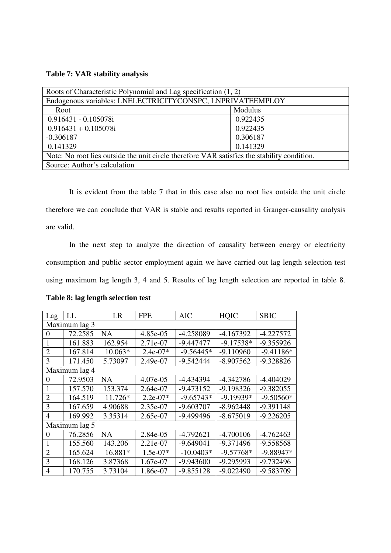## **Table 7: VAR stability analysis**

| Roots of Characteristic Polynomial and Lag specification (1, 2)                             |          |  |  |
|---------------------------------------------------------------------------------------------|----------|--|--|
| Endogenous variables: LNELECTRICITYCONSPC, LNPRIVATEEMPLOY                                  |          |  |  |
| Root                                                                                        | Modulus  |  |  |
| 0.916431 - 0.105078i                                                                        | 0.922435 |  |  |
| $0.916431 + 0.105078i$                                                                      | 0.922435 |  |  |
| $-0.306187$                                                                                 | 0.306187 |  |  |
| 0.141329                                                                                    | 0.141329 |  |  |
| Note: No root lies outside the unit circle therefore VAR satisfies the stability condition. |          |  |  |
| Source: Author's calculation                                                                |          |  |  |

It is evident from the table 7 that in this case also no root lies outside the unit circle therefore we can conclude that VAR is stable and results reported in Granger-causality analysis are valid.

In the next step to analyze the direction of causality between energy or electricity consumption and public sector employment again we have carried out lag length selection test using maximum lag length 3, 4 and 5. Results of lag length selection are reported in table 8.

| Lag            | LL            | LR        | <b>FPE</b> | <b>AIC</b>  | <b>HQIC</b> | <b>SBIC</b> |
|----------------|---------------|-----------|------------|-------------|-------------|-------------|
| Maximum lag 3  |               |           |            |             |             |             |
| $\theta$       | 72.2585       | <b>NA</b> | 4.85e-05   | -4.258089   | $-4.167392$ | $-4.227572$ |
| 1              | 161.883       | 162.954   | 2.71e-07   | $-9.447477$ | $-9.17538*$ | $-9.355926$ |
| $\overline{2}$ | 167.814       | 10.063*   | $2.4e-07*$ | $-9.56445*$ | $-9.110960$ | $-9.41186*$ |
| 3              | 171.450       | 5.73097   | 2.49e-07   | $-9.542444$ | $-8.907562$ | -9.328826   |
|                | Maximum lag 4 |           |            |             |             |             |
| 0              | 72.9503       | <b>NA</b> | 4.07e-05   | -4.434394   | $-4.342786$ | $-4.404029$ |
|                | 157.570       | 153.374   | 2.64e-07   | $-9.473152$ | $-9.198326$ | -9.382055   |
| $\overline{2}$ | 164.519       | 11.726*   | $2.2e-07*$ | $-9.65743*$ | $-9.19939*$ | $-9.50560*$ |
| 3              | 167.659       | 4.90688   | 2.35e-07   | $-9.603707$ | $-8.962448$ | $-9.391148$ |
| 4              | 169.992       | 3.35314   | 2.65e-07   | -9.499496   | $-8.675019$ | $-9.226205$ |
|                | Maximum lag 5 |           |            |             |             |             |
| $\theta$       | 76.2856       | NA        | 2.84e-05   | $-4.792621$ | $-4.700106$ | $-4.762463$ |
| 1              | 155.560       | 143.206   | 2.21e-07   | $-9.649041$ | $-9.371496$ | -9.558568   |
| $\overline{2}$ | 165.624       | 16.881*   | $1.5e-07*$ | $-10.0403*$ | $-9.57768*$ | $-9.88947*$ |
| 3              | 168.126       | 3.87368   | 1.67e-07   | $-9.943600$ | -9.295993   | -9.732496   |
| $\overline{4}$ | 170.755       | 3.73104   | 1.86e-07   | $-9.855128$ | $-9.022490$ | -9.583709   |

#### **Table 8: lag length selection test**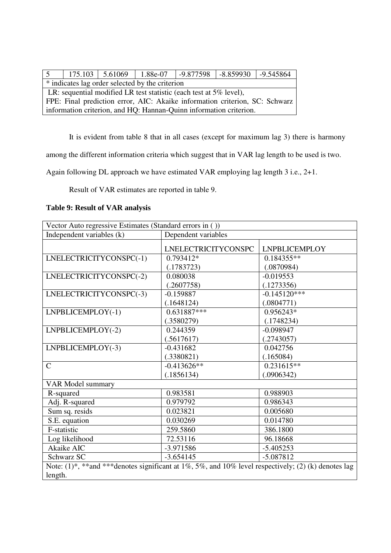| 5 <sup>5</sup>                                                              |                                                                    | $175.103$   $5.61069$ |  | $1.88e-07$   $-9.877598$   $-8.859930$   $-9.545864$ |  |  |  |
|-----------------------------------------------------------------------------|--------------------------------------------------------------------|-----------------------|--|------------------------------------------------------|--|--|--|
| * indicates lag order selected by the criterion                             |                                                                    |                       |  |                                                      |  |  |  |
| LR: sequential modified LR test statistic (each test at $5\%$ level),       |                                                                    |                       |  |                                                      |  |  |  |
| FPE: Final prediction error, AIC: Akaike information criterion, SC: Schwarz |                                                                    |                       |  |                                                      |  |  |  |
|                                                                             | information criterion, and HQ: Hannan-Quinn information criterion. |                       |  |                                                      |  |  |  |

It is evident from table 8 that in all cases (except for maximum lag 3) there is harmony

among the different information criteria which suggest that in VAR lag length to be used is two.

Again following DL approach we have estimated VAR employing lag length 3 i.e., 2+1.

Result of VAR estimates are reported in table 9.

## **Table 9: Result of VAR analysis**

| Vector Auto regressive Estimates (Standard errors in ())                                                           |                            |                      |  |  |
|--------------------------------------------------------------------------------------------------------------------|----------------------------|----------------------|--|--|
| Independent variables (k)                                                                                          | Dependent variables        |                      |  |  |
|                                                                                                                    | <b>LNELECTRICITYCONSPC</b> | <b>LNPBLICEMPLOY</b> |  |  |
| LNELECTRICITYCONSPC(-1)                                                                                            | 0.793412*                  | $0.184355**$         |  |  |
|                                                                                                                    | (.1783723)                 | (.0870984)           |  |  |
| LNELECTRICITYCONSPC(-2)                                                                                            | 0.080038                   | $-0.019553$          |  |  |
|                                                                                                                    | (.2607758)                 | (.1273356)           |  |  |
| LNELECTRICITYCONSPC(-3)                                                                                            | $-0.159887$                | $-0.145120***$       |  |  |
|                                                                                                                    | (.1648124)                 | (.0804771)           |  |  |
| LNPBLICEMPLOY(-1)                                                                                                  | $0.631887***$              | 0.956243*            |  |  |
|                                                                                                                    | (.3580279)                 | (.1748234)           |  |  |
| LNPBLICEMPLOY(-2)                                                                                                  | 0.244359                   | $-0.098947$          |  |  |
|                                                                                                                    | (.5617617)                 | (.2743057)           |  |  |
| LNPBLICEMPLOY(-3)                                                                                                  | $-0.431682$                | 0.042756             |  |  |
|                                                                                                                    | (.3380821)                 | (.165084)            |  |  |
| $\mathbf C$                                                                                                        | $-0.413626**$              | $0.231615**$         |  |  |
|                                                                                                                    | (.1856134)                 | (.0906342)           |  |  |
| <b>VAR Model summary</b>                                                                                           |                            |                      |  |  |
| R-squared                                                                                                          | 0.983581                   | 0.988903             |  |  |
| Adj. R-squared                                                                                                     | 0.979792                   | 0.986343             |  |  |
| Sum sq. resids                                                                                                     | 0.023821                   | 0.005680             |  |  |
| S.E. equation                                                                                                      | 0.030269                   | 0.014780             |  |  |
| F-statistic                                                                                                        | 259.5860                   | 386.1800             |  |  |
| Log likelihood                                                                                                     | 72.53116                   | 96.18668             |  |  |
| Akaike AIC                                                                                                         | $-3.971586$                | $-5.405253$          |  |  |
| Schwarz SC                                                                                                         | $-3.654145$                | $-5.087812$          |  |  |
| Note: $(1)$ <sup>*</sup> , **and ***denotes significant at 1%, 5%, and 10% level respectively; (2) (k) denotes lag |                            |                      |  |  |
| length.                                                                                                            |                            |                      |  |  |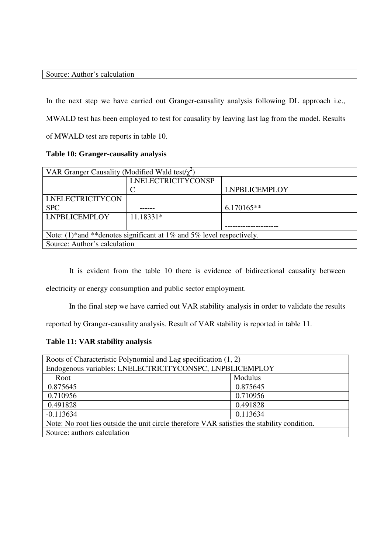## Source: Author's calculation

In the next step we have carried out Granger-causality analysis following DL approach i.e., MWALD test has been employed to test for causality by leaving last lag from the model. Results of MWALD test are reports in table 10.

## **Table 10: Granger-causality analysis**

| $\vert$ VAR Granger Causality (Modified Wald test/ $\chi^2$ )           |                           |                      |  |  |
|-------------------------------------------------------------------------|---------------------------|----------------------|--|--|
|                                                                         | <b>LNELECTRICITYCONSP</b> |                      |  |  |
|                                                                         |                           | <b>LNPBLICEMPLOY</b> |  |  |
| <b>LNELECTRICITYCON</b>                                                 |                           |                      |  |  |
| <b>SPC</b>                                                              |                           | $6.170165**$         |  |  |
| <b>LNPBLICEMPLOY</b>                                                    | 11.18331*                 |                      |  |  |
|                                                                         |                           |                      |  |  |
| Note: $(1)$ *and **denotes significant at 1% and 5% level respectively. |                           |                      |  |  |
| Source: Author's calculation                                            |                           |                      |  |  |

It is evident from the table 10 there is evidence of bidirectional causality between

electricity or energy consumption and public sector employment.

In the final step we have carried out VAR stability analysis in order to validate the results

reported by Granger-causality analysis. Result of VAR stability is reported in table 11.

## **Table 11: VAR stability analysis**

| Roots of Characteristic Polynomial and Lag specification (1, 2)                             |          |
|---------------------------------------------------------------------------------------------|----------|
| Endogenous variables: LNELECTRICITYCONSPC, LNPBLICEMPLOY                                    |          |
| Root                                                                                        | Modulus  |
| 0.875645                                                                                    | 0.875645 |
| 0.710956                                                                                    | 0.710956 |
| 0.491828                                                                                    | 0.491828 |
| $-0.113634$                                                                                 | 0.113634 |
| Note: No root lies outside the unit circle therefore VAR satisfies the stability condition. |          |
| Source: authors calculation                                                                 |          |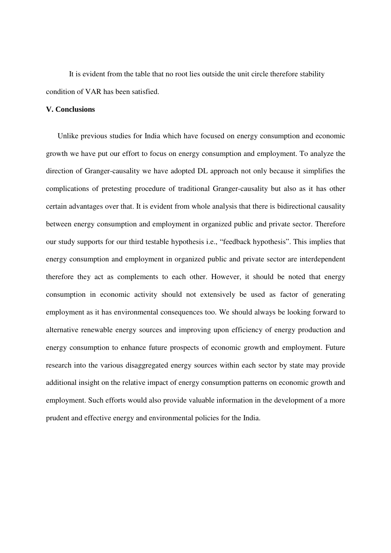It is evident from the table that no root lies outside the unit circle therefore stability condition of VAR has been satisfied.

### **V. Conclusions**

Unlike previous studies for India which have focused on energy consumption and economic growth we have put our effort to focus on energy consumption and employment. To analyze the direction of Granger-causality we have adopted DL approach not only because it simplifies the complications of pretesting procedure of traditional Granger-causality but also as it has other certain advantages over that. It is evident from whole analysis that there is bidirectional causality between energy consumption and employment in organized public and private sector. Therefore our study supports for our third testable hypothesis i.e., "feedback hypothesis". This implies that energy consumption and employment in organized public and private sector are interdependent therefore they act as complements to each other. However, it should be noted that energy consumption in economic activity should not extensively be used as factor of generating employment as it has environmental consequences too. We should always be looking forward to alternative renewable energy sources and improving upon efficiency of energy production and energy consumption to enhance future prospects of economic growth and employment. Future research into the various disaggregated energy sources within each sector by state may provide additional insight on the relative impact of energy consumption patterns on economic growth and employment. Such efforts would also provide valuable information in the development of a more prudent and effective energy and environmental policies for the India.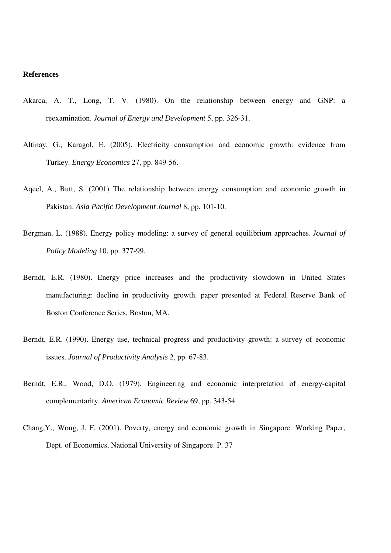### **References**

- Akarca, A. T., Long, T. V. (1980). On the relationship between energy and GNP: a reexamination. *Journal of Energy and Development* 5, pp. 326-31.
- Altinay, G., Karagol, E. (2005). Electricity consumption and economic growth: evidence from Turkey. *Energy Economics* 27, pp. 849-56.
- Aqeel, A., Butt, S. (2001) The relationship between energy consumption and economic growth in Pakistan. *Asia Pacific Development Journal* 8, pp. 101-10.
- Bergman, L. (1988). Energy policy modeling: a survey of general equilibrium approaches. *Journal of Policy Modeling* 10, pp. 377-99.
- Berndt, E.R. (1980). Energy price increases and the productivity slowdown in United States manufacturing: decline in productivity growth. paper presented at Federal Reserve Bank of Boston Conference Series, Boston, MA.
- Berndt, E.R. (1990). Energy use, technical progress and productivity growth: a survey of economic issues. *Journal of Productivity Analysis* 2, pp. 67-83.
- Berndt, E.R., Wood, D.O. (1979). Engineering and economic interpretation of energy-capital complementarity. *American Economic Review* 69, pp. 343-54.
- Chang,Y., Wong, J. F. (2001). Poverty, energy and economic growth in Singapore. Working Paper, Dept. of Economics, National University of Singapore. P. 37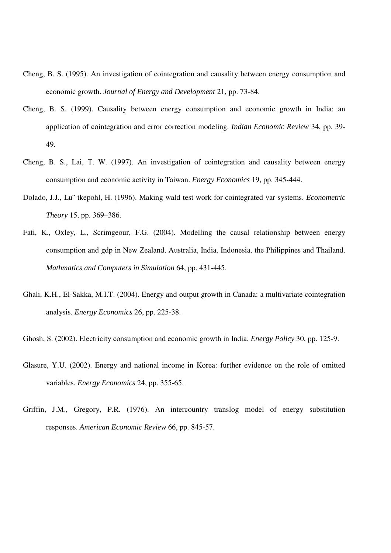- Cheng, B. S. (1995). An investigation of cointegration and causality between energy consumption and economic growth. *Journal of Energy and Development* 21, pp. 73-84.
- Cheng, B. S. (1999). Causality between energy consumption and economic growth in India: an application of cointegration and error correction modeling. *Indian Economic Review* 34, pp. 39- 49.
- Cheng, B. S., Lai, T. W. (1997). An investigation of cointegration and causality between energy consumption and economic activity in Taiwan. *Energy Economics* 19, pp. 345-444.
- Dolado, J.J., Lu¨ tkepohl, H. (1996). Making wald test work for cointegrated var systems. *Econometric Theory* 15, pp. 369–386.
- Fati, K., Oxley, L., Scrimgeour, F.G. (2004). Modelling the causal relationship between energy consumption and gdp in New Zealand, Australia, India, Indonesia, the Philippines and Thailand. *Mathmatics and Computers in Simulation* 64, pp. 431-445.
- Ghali, K.H., El-Sakka, M.I.T. (2004). Energy and output growth in Canada: a multivariate cointegration analysis. *Energy Economics* 26, pp. 225-38.
- Ghosh, S. (2002). Electricity consumption and economic growth in India. *Energy Policy* 30, pp. 125-9.
- Glasure, Y.U. (2002). Energy and national income in Korea: further evidence on the role of omitted variables. *Energy Economics* 24, pp. 355-65.
- Griffin, J.M., Gregory, P.R. (1976). An intercountry translog model of energy substitution responses. *American Economic Review* 66, pp. 845-57.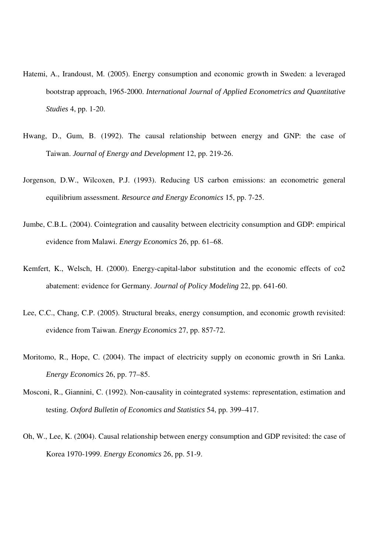- Hatemi, A., Irandoust, M. (2005). Energy consumption and economic growth in Sweden: a leveraged bootstrap approach, 1965-2000. *International Journal of Applied Econometrics and Quantitative Studies* 4, pp. 1-20.
- Hwang, D., Gum, B. (1992). The causal relationship between energy and GNP: the case of Taiwan. *Journal of Energy and Development* 12, pp. 219-26.
- Jorgenson, D.W., Wilcoxen, P.J. (1993). Reducing US carbon emissions: an econometric general equilibrium assessment. *Resource and Energy Economics* 15, pp. 7-25.
- Jumbe, C.B.L. (2004). Cointegration and causality between electricity consumption and GDP: empirical evidence from Malawi. *Energy Economics* 26, pp. 61–68.
- Kemfert, K., Welsch, H. (2000). Energy-capital-labor substitution and the economic effects of co2 abatement: evidence for Germany. *Journal of Policy Modeling* 22, pp. 641-60.
- Lee, C.C., Chang, C.P. (2005). Structural breaks, energy consumption, and economic growth revisited: evidence from Taiwan. *Energy Economics* 27, pp. 857-72.
- Moritomo, R., Hope, C. (2004). The impact of electricity supply on economic growth in Sri Lanka. *Energy Economics* 26, pp. 77–85.
- Mosconi, R., Giannini, C. (1992). Non-causality in cointegrated systems: representation, estimation and testing. *Oxford Bulletin of Economics and Statistics* 54, pp. 399–417.
- Oh, W., Lee, K. (2004). Causal relationship between energy consumption and GDP revisited: the case of Korea 1970-1999. *Energy Economics* 26, pp. 51-9.